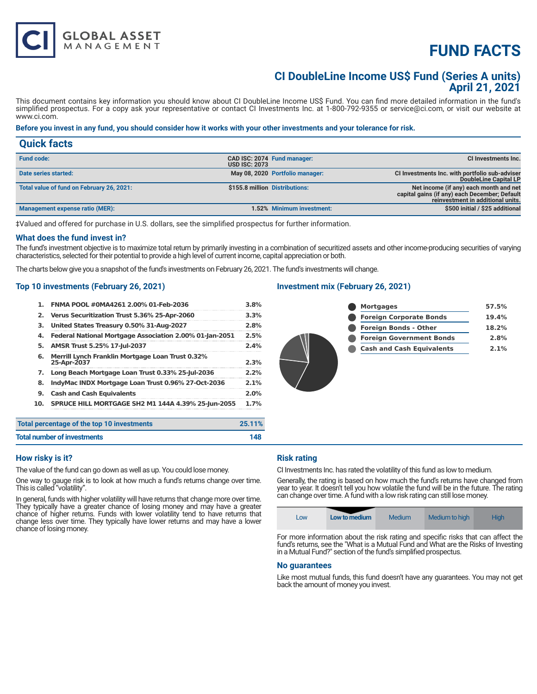# **FUND FACTS**

# **CI DoubleLine Income US\$ Fund (Series A units) April 21, 2021**

This document contains key information you should know about CI DoubleLine Income US\$ Fund. You can find more detailed information in the fund's simplified prospectus. For a copy ask your representative or contact CI Investments Inc. at 1-800-792-9355 or service@ci.com, or visit our website at www.ci.com.

### **Before you invest in any fund, you should consider how it works with your other investments and your tolerance for risk.**

| <b>Quick facts</b>                        |                      |                                 |                                                                                                                              |
|-------------------------------------------|----------------------|---------------------------------|------------------------------------------------------------------------------------------------------------------------------|
| <b>Fund code:</b>                         | <b>USD ISC: 2073</b> | CAD ISC: 2074 Fund manager:     | CI Investments Inc.                                                                                                          |
| Date series started:                      |                      | May 08, 2020 Portfolio manager: | CI Investments Inc. with portfolio sub-adviser<br>DoubleLine Capital LP                                                      |
| Total value of fund on February 26, 2021: |                      | \$155.8 million Distributions:  | Net income (if any) each month and net<br>capital gains (if any) each December; Default<br>reinvestment in additional units. |
| Management expense ratio (MER):           |                      | 1.52% Minimum investment:       | \$500 initial / \$25 additional                                                                                              |

‡Valued and offered for purchase in U.S. dollars, see the simplified prospectus for further information.

#### **What does the fund invest in?**

The fund's investment objective is to maximize total return by primarily investing in a combination of securitized assets and other income-producing securities of varying characteristics, selected for their potential to provide a high level of current income, capital appreciation or both.

The charts below give you a snapshot of the fund's investments on February 26, 2021. The fund's investments will change.

#### **Top 10 investments (February 26, 2021)**

| 1.  | FNMA POOL #0MA4261 2.00% 01-Feb-2036                                   | 3.8%   |
|-----|------------------------------------------------------------------------|--------|
| 2.  | Verus Securitization Trust 5.36% 25-Apr-2060                           | 3.3%   |
| з.  | United States Treasury 0.50% 31-Aug-2027                               | 2.8%   |
| 4.  | Federal National Mortgage Association 2.00% 01-Jan-2051                | 2.5%   |
| 5.  | AMSR Trust 5.25% 17-Jul-2037                                           | 2.4%   |
| 6.  | <b>Merrill Lynch Franklin Mortgage Loan Trust 0.32%</b><br>25-Apr-2037 | 2.3%   |
| 7.  | Long Beach Mortgage Loan Trust 0.33% 25-Jul-2036                       | 2.2%   |
| 8.  | IndyMac INDX Mortgage Loan Trust 0.96% 27-Oct-2036                     | 2.1%   |
| 9.  | <b>Cash and Cash Equivalents</b>                                       | 2.0%   |
| 10. | <b>SPRUCE HILL MORTGAGE SH2 M1 144A 4.39% 25-Jun-2055</b>              | 1.7%   |
|     | Total percentage of the top 10 investments                             | 25.11% |
|     | Total number of investments                                            | 148    |

## **Investment mix (February 26, 2021)**

| <b>Mortgages</b>                 | 57.5% |
|----------------------------------|-------|
| <b>Foreign Corporate Bonds</b>   | 19.4% |
| <b>Foreign Bonds - Other</b>     | 18.2% |
| <b>Foreign Government Bonds</b>  | 2.8%  |
| <b>Cash and Cash Equivalents</b> | 2.1%  |
|                                  |       |

#### **How risky is it?**

The value of the fund can go down as well as up. You could lose money.

One way to gauge risk is to look at how much a fund's returns change over time. This is called "volatility".

In general, funds with higher volatility will have returns that change more over time. They typically have a greater chance of losing money and may have a greater chance of higher returns. Funds with lower volatility tend to have returns that change less over time. They typically have lower returns and may have a lower chance of losing money.

#### **Risk rating**

CI Investments Inc. has rated the volatility of this fund as low to medium.

Generally, the rating is based on how much the fund's returns have changed from year to year. It doesn't tell you how volatile the fund will be in the future. The rating can change over time. A fund with a low risk rating can still lose money.

| Medium to high<br>Medium<br>Hiah<br>Low to medium<br>LOW |  |
|----------------------------------------------------------|--|
|----------------------------------------------------------|--|

For more information about the risk rating and specific risks that can affect the fund's returns, see the "What is a Mutual Fund and What are the Risks of Investing in a Mutual Fund?" section of the fund's simplified prospectus.

#### **No guarantees**

Like most mutual funds, this fund doesn't have any guarantees. You may not get back the amount of money you invest.

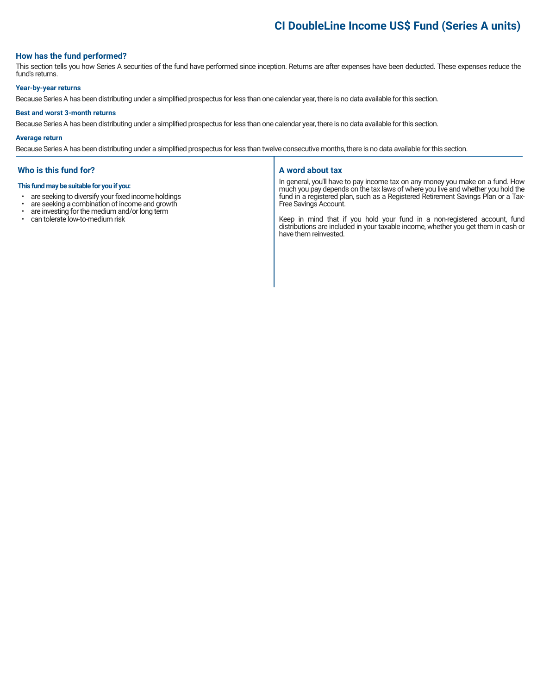# **CI DoubleLine Income US\$ Fund (Series A units)**

### **How has the fund performed?**

This section tells you how Series A securities of the fund have performed since inception. Returns are after expenses have been deducted. These expenses reduce the fund's returns.

#### **Year-by-year returns**

Because Series A has been distributing under a simplified prospectus for less than one calendar year, there is no data available for this section.

#### **Best and worst 3-month returns**

Because Series A has been distributing under a simplified prospectus for less than one calendar year, there is no data available for this section.

#### **Average return**

Because Series A has been distributing under a simplified prospectus for less than twelve consecutive months, there is no data available for this section.

#### **Who is this fund for?**

#### **This fund may be suitable for you if you:**

- are seeking to diversify your fixed income holdings<br>• are seeking a combination of income and growth
- are seeking a combination of income and growth  $\cdot$  are investing for the medium and/or long term
- are investing for the medium and/or long term
- can tolerate low-to-medium risk

#### **A word about tax**

In general, you'll have to pay income tax on any money you make on a fund. How much you pay depends on the tax laws of where you live and whether you hold the fund in a registered plan, such as a Registered Retirement Savings Plan or a Tax-Free Savings Account.

Keep in mind that if you hold your fund in a non-registered account, fund distributions are included in your taxable income, whether you get them in cash or have them reinvested.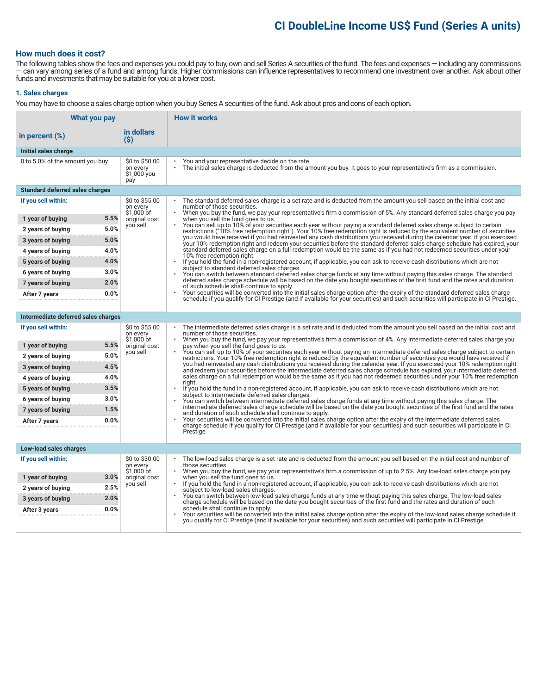# **CI DoubleLine Income US\$ Fund (Series A units)**

### **How much does it cost?**

The following tables show the fees and expenses you could pay to buy, own and sell Series A securities of the fund. The fees and expenses — including any commissions — can vary among series of a fund and among funds. Higher commissions can influence representatives to recommend one investment over another. Ask about other funds and investments that may be suitable for you at a lower cost.

#### **1. Sales charges**

You may have to choose a sales charge option when you buy Series A securities of the fund. Ask about pros and cons of each option.

| What you pay                           |                                                  | <b>How it works</b>                                                                                                                                                                                                                                                                                                                                                                                                                                                                                                                                                                        |  |
|----------------------------------------|--------------------------------------------------|--------------------------------------------------------------------------------------------------------------------------------------------------------------------------------------------------------------------------------------------------------------------------------------------------------------------------------------------------------------------------------------------------------------------------------------------------------------------------------------------------------------------------------------------------------------------------------------------|--|
| in percent $(\%)$                      | in dollars<br>$($ \$)                            |                                                                                                                                                                                                                                                                                                                                                                                                                                                                                                                                                                                            |  |
| Initial sales charge                   |                                                  |                                                                                                                                                                                                                                                                                                                                                                                                                                                                                                                                                                                            |  |
| 0 to 5.0% of the amount you buy        | \$0 to \$50.00<br>on every<br>\$1,000 you<br>pay | You and your representative decide on the rate.<br>The initial sales charge is deducted from the amount you buy. It goes to your representative's firm as a commission.                                                                                                                                                                                                                                                                                                                                                                                                                    |  |
| <b>Standard deferred sales charges</b> |                                                  |                                                                                                                                                                                                                                                                                                                                                                                                                                                                                                                                                                                            |  |
| If you sell within:                    | \$0 to \$55.00<br>on every<br>\$1,000 of         | The standard deferred sales charge is a set rate and is deducted from the amount you sell based on the initial cost and<br>number of those securities.<br>When you buy the fund, we pay your representative's firm a commission of 5%. Any standard deferred sales charge you pay                                                                                                                                                                                                                                                                                                          |  |
| 5.5%<br>1 year of buying               | original cost<br>you sell                        | when you sell the fund goes to us.<br>You can sell up to 10% of your securities each year without paying a standard deferred sales charge subject to certain                                                                                                                                                                                                                                                                                                                                                                                                                               |  |
| 5.0%<br>2 years of buying              |                                                  | restrictions ("10% free redemption right"). Your 10% free redemption right is reduced by the equivalent number of securities                                                                                                                                                                                                                                                                                                                                                                                                                                                               |  |
| 5.0%<br>3 years of buying              |                                                  | you would have received if you had reinvested any cash distributions you received during the calendar year. If you exercised<br>your 10% redemption right and redeem your securities before the standard deferred sales charge schedule has expired, your                                                                                                                                                                                                                                                                                                                                  |  |
| 4.0%<br>4 years of buying              |                                                  | standard deferred sales charge on a full redemption would be the same as if you had not redeemed securities under your<br>10% free redemption right.                                                                                                                                                                                                                                                                                                                                                                                                                                       |  |
| 4.0%<br>5 years of buying              |                                                  | If you hold the fund in a non-registered account, if applicable, you can ask to receive cash distributions which are not<br>$\bullet$                                                                                                                                                                                                                                                                                                                                                                                                                                                      |  |
| 3.0%<br>6 years of buying              |                                                  | subject to standard deferred sales charges.<br>You can switch between standard deferred sales charge funds at any time without paving this sales charge. The standard                                                                                                                                                                                                                                                                                                                                                                                                                      |  |
| 2.0%<br>7 years of buying              |                                                  | deferred sales charge schedule will be based on the date you bought securities of the first fund and the rates and duration<br>of such schedule shall continue to apply.                                                                                                                                                                                                                                                                                                                                                                                                                   |  |
| 0.0%<br>After 7 years                  |                                                  | Your securities will be converted into the initial sales charge option after the expiry of the standard deferred sales charge<br>schedule if you qualify for CI Prestige (and if available for your securities) and such securities will participate in CI Prestige.                                                                                                                                                                                                                                                                                                                       |  |
|                                        |                                                  |                                                                                                                                                                                                                                                                                                                                                                                                                                                                                                                                                                                            |  |
| Intermediate deferred sales charges    |                                                  |                                                                                                                                                                                                                                                                                                                                                                                                                                                                                                                                                                                            |  |
| If you sell within:                    | \$0 to \$55.00<br>on every<br>\$1,000 of         | The intermediate deferred sales charge is a set rate and is deducted from the amount you sell based on the initial cost and<br>number of those securities.<br>When you buy the fund, we pay your representative's firm a commission of 4%. Any intermediate deferred sales charge you                                                                                                                                                                                                                                                                                                      |  |
| 5.5%<br>1 year of buying               | original cost                                    | pay when you sell the fund goes to us.                                                                                                                                                                                                                                                                                                                                                                                                                                                                                                                                                     |  |
| 5.0%<br>2 years of buying              | you sell                                         | You can sell up to 10% of your securities each year without paying an intermediate deferred sales charge subject to certain<br>restrictions. Your 10% free redemption right is reduced by the equivalent number of securities you would have received if                                                                                                                                                                                                                                                                                                                                   |  |
| 4.5%<br>3 years of buying              |                                                  | you had reinvested any cash distributions you received during the calendar year. If you exercised your 10% redemption right<br>and redeem your securities before the intermediate deferred sales charge schedule has expired, your intermediate deferred                                                                                                                                                                                                                                                                                                                                   |  |
| 4.0%<br>4 years of buying              |                                                  | sales charge on a full redemption would be the same as if you had not redeemed securities under your 10% free redemption<br>right.                                                                                                                                                                                                                                                                                                                                                                                                                                                         |  |
| 3.5%<br>5 years of buying              |                                                  | If you hold the fund in a non-registered account, if applicable, you can ask to receive cash distributions which are not<br>$\bullet$<br>subject to intermediate deferred sales charges.                                                                                                                                                                                                                                                                                                                                                                                                   |  |
| 3.0%<br>6 years of buying              |                                                  | You can switch between intermediate deferred sales charge funds at any time without paying this sales charge. The                                                                                                                                                                                                                                                                                                                                                                                                                                                                          |  |
| 1.5%<br>7 years of buying              |                                                  | intermediate deferred sales charge schedule will be based on the date you bought securities of the first fund and the rates<br>and duration of such schedule shall continue to apply.                                                                                                                                                                                                                                                                                                                                                                                                      |  |
| 0.0%<br>After 7 years                  |                                                  | Your securities will be converted into the initial sales charge option after the expiry of the intermediate deferred sales<br>charge schedule if you qualify for CI Prestige (and if available for your securities) and such securities will participate in CI                                                                                                                                                                                                                                                                                                                             |  |
|                                        |                                                  | Prestige.                                                                                                                                                                                                                                                                                                                                                                                                                                                                                                                                                                                  |  |
| Low-load sales charges                 |                                                  |                                                                                                                                                                                                                                                                                                                                                                                                                                                                                                                                                                                            |  |
| If you sell within:                    | \$0 to \$30.00<br>on every<br>\$1.000 of         | The low-load sales charge is a set rate and is deducted from the amount you sell based on the initial cost and number of<br>those securities.                                                                                                                                                                                                                                                                                                                                                                                                                                              |  |
| 3.0%<br>1 year of buying               | original cost                                    | When you buy the fund, we pay your representative's firm a commission of up to 2.5%. Any low-load sales charge you pay<br>$\bullet$<br>when you sell the fund goes to us.<br>If you hold the fund in a non-registered account, if applicable, you can ask to receive cash distributions which are not<br>subject to low-load sales charges.<br>You can switch between low-load sales charge funds at any time without paying this sales charge. The low-load sales<br>charge schedule will be based on the date you bought securities of the first fund and the rates and duration of such |  |
| 2.5%<br>2 years of buying              | you sell                                         |                                                                                                                                                                                                                                                                                                                                                                                                                                                                                                                                                                                            |  |
| 2.0%<br>3 years of buying              |                                                  |                                                                                                                                                                                                                                                                                                                                                                                                                                                                                                                                                                                            |  |
| 0.0%<br>After 3 years                  |                                                  | schedule shall continue to apply.<br>Your securities will be converted into the initial sales charge option after the expiry of the low-load sales charge schedule if                                                                                                                                                                                                                                                                                                                                                                                                                      |  |
|                                        |                                                  | you qualify for CI Prestige (and if available for your securities) and such securities will participate in CI Prestige.                                                                                                                                                                                                                                                                                                                                                                                                                                                                    |  |